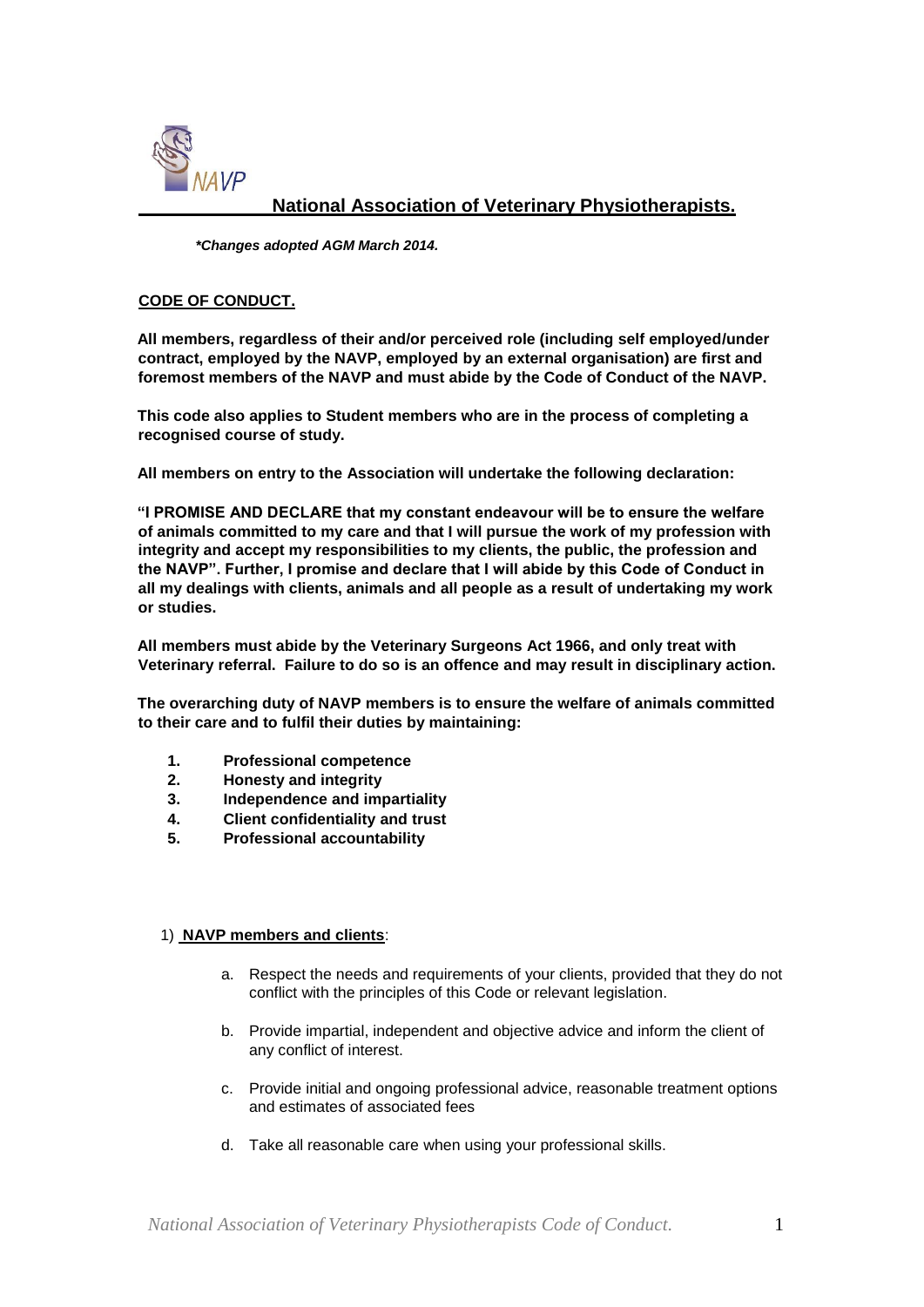

# **National Association of Veterinary Physiotherapists.**

*\*Changes adopted AGM March 2014.* 

#### **CODE OF CONDUCT.**

**All members, regardless of their and/or perceived role (including self employed/under contract, employed by the NAVP, employed by an external organisation) are first and foremost members of the NAVP and must abide by the Code of Conduct of the NAVP.** 

**This code also applies to Student members who are in the process of completing a recognised course of study.** 

**All members on entry to the Association will undertake the following declaration:** 

**"I PROMISE AND DECLARE that my constant endeavour will be to ensure the welfare of animals committed to my care and that I will pursue the work of my profession with integrity and accept my responsibilities to my clients, the public, the profession and the NAVP". Further, I promise and declare that I will abide by this Code of Conduct in all my dealings with clients, animals and all people as a result of undertaking my work or studies.** 

**All members must abide by the Veterinary Surgeons Act 1966, and only treat with Veterinary referral. Failure to do so is an offence and may result in disciplinary action.** 

**The overarching duty of NAVP members is to ensure the welfare of animals committed to their care and to fulfil their duties by maintaining:** 

- **1. Professional competence**
- **2. Honesty and integrity**
- **3. Independence and impartiality**
- **4. Client confidentiality and trust**
- **5. Professional accountability**

#### 1) **NAVP members and clients**:

- a. Respect the needs and requirements of your clients, provided that they do not conflict with the principles of this Code or relevant legislation.
- b. Provide impartial, independent and objective advice and inform the client of any conflict of interest.
- c. Provide initial and ongoing professional advice, reasonable treatment options and estimates of associated fees
- d. Take all reasonable care when using your professional skills.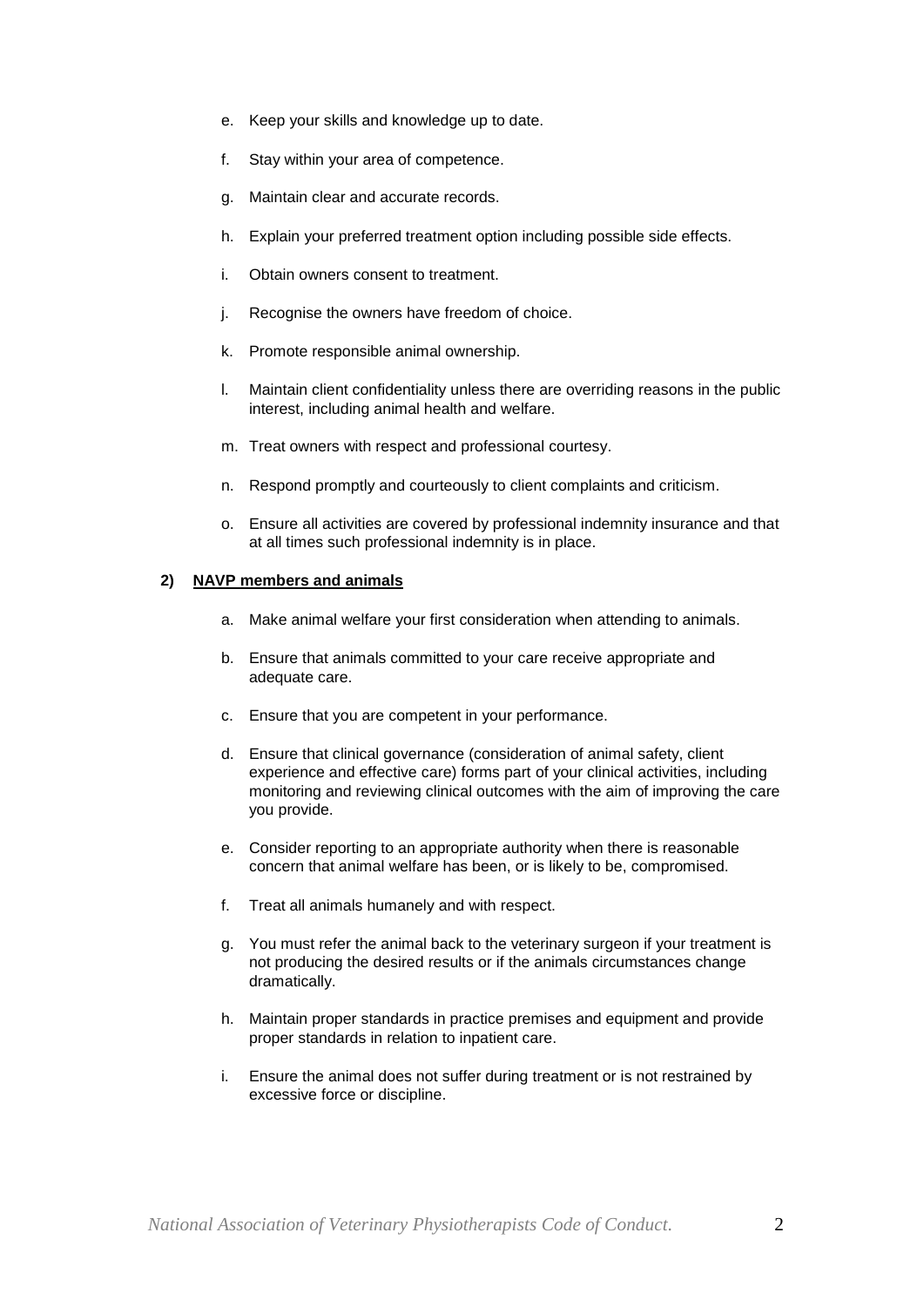- e. Keep your skills and knowledge up to date.
- f. Stay within your area of competence.
- g. Maintain clear and accurate records.
- h. Explain your preferred treatment option including possible side effects.
- i. Obtain owners consent to treatment.
- j. Recognise the owners have freedom of choice.
- k. Promote responsible animal ownership.
- l. Maintain client confidentiality unless there are overriding reasons in the public interest, including animal health and welfare.
- m. Treat owners with respect and professional courtesy.
- n. Respond promptly and courteously to client complaints and criticism.
- o. Ensure all activities are covered by professional indemnity insurance and that at all times such professional indemnity is in place.

#### **2) NAVP members and animals**

- a. Make animal welfare your first consideration when attending to animals.
- b. Ensure that animals committed to your care receive appropriate and adequate care.
- c. Ensure that you are competent in your performance.
- d. Ensure that clinical governance (consideration of animal safety, client experience and effective care) forms part of your clinical activities, including monitoring and reviewing clinical outcomes with the aim of improving the care you provide.
- e. Consider reporting to an appropriate authority when there is reasonable concern that animal welfare has been, or is likely to be, compromised.
- f. Treat all animals humanely and with respect.
- g. You must refer the animal back to the veterinary surgeon if your treatment is not producing the desired results or if the animals circumstances change dramatically.
- h. Maintain proper standards in practice premises and equipment and provide proper standards in relation to inpatient care.
- i. Ensure the animal does not suffer during treatment or is not restrained by excessive force or discipline.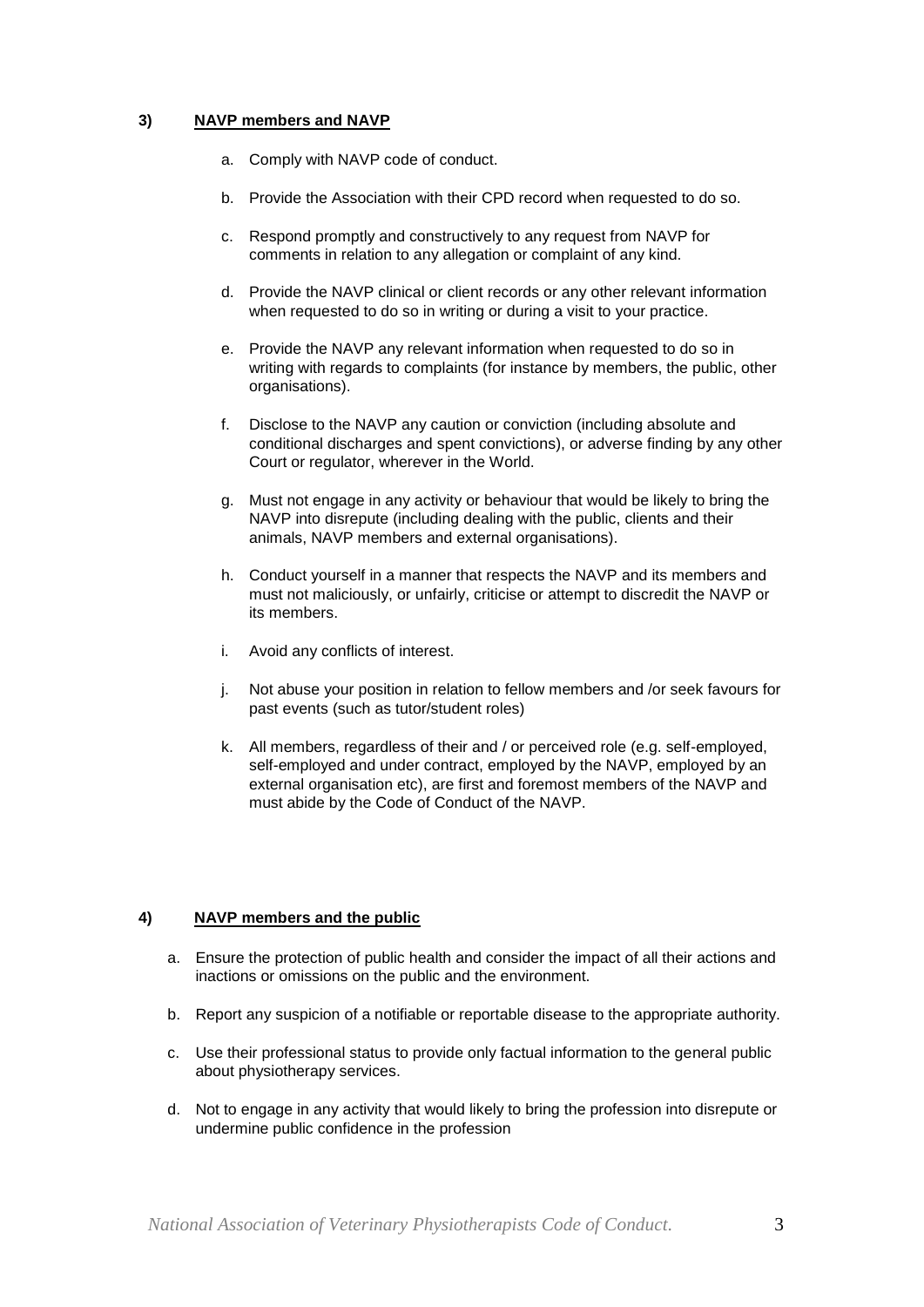### **3) NAVP members and NAVP**

- a. Comply with NAVP code of conduct.
- b. Provide the Association with their CPD record when requested to do so.
- c. Respond promptly and constructively to any request from NAVP for comments in relation to any allegation or complaint of any kind.
- d. Provide the NAVP clinical or client records or any other relevant information when requested to do so in writing or during a visit to your practice.
- e. Provide the NAVP any relevant information when requested to do so in writing with regards to complaints (for instance by members, the public, other organisations).
- f. Disclose to the NAVP any caution or conviction (including absolute and conditional discharges and spent convictions), or adverse finding by any other Court or regulator, wherever in the World.
- g. Must not engage in any activity or behaviour that would be likely to bring the NAVP into disrepute (including dealing with the public, clients and their animals, NAVP members and external organisations).
- h. Conduct yourself in a manner that respects the NAVP and its members and must not maliciously, or unfairly, criticise or attempt to discredit the NAVP or its members.
- i. Avoid any conflicts of interest.
- j. Not abuse your position in relation to fellow members and /or seek favours for past events (such as tutor/student roles)
- k. All members, regardless of their and / or perceived role (e.g. self-employed, self-employed and under contract, employed by the NAVP, employed by an external organisation etc), are first and foremost members of the NAVP and must abide by the Code of Conduct of the NAVP.

#### **4) NAVP members and the public**

- a. Ensure the protection of public health and consider the impact of all their actions and inactions or omissions on the public and the environment.
- b. Report any suspicion of a notifiable or reportable disease to the appropriate authority.
- c. Use their professional status to provide only factual information to the general public about physiotherapy services.
- d. Not to engage in any activity that would likely to bring the profession into disrepute or undermine public confidence in the profession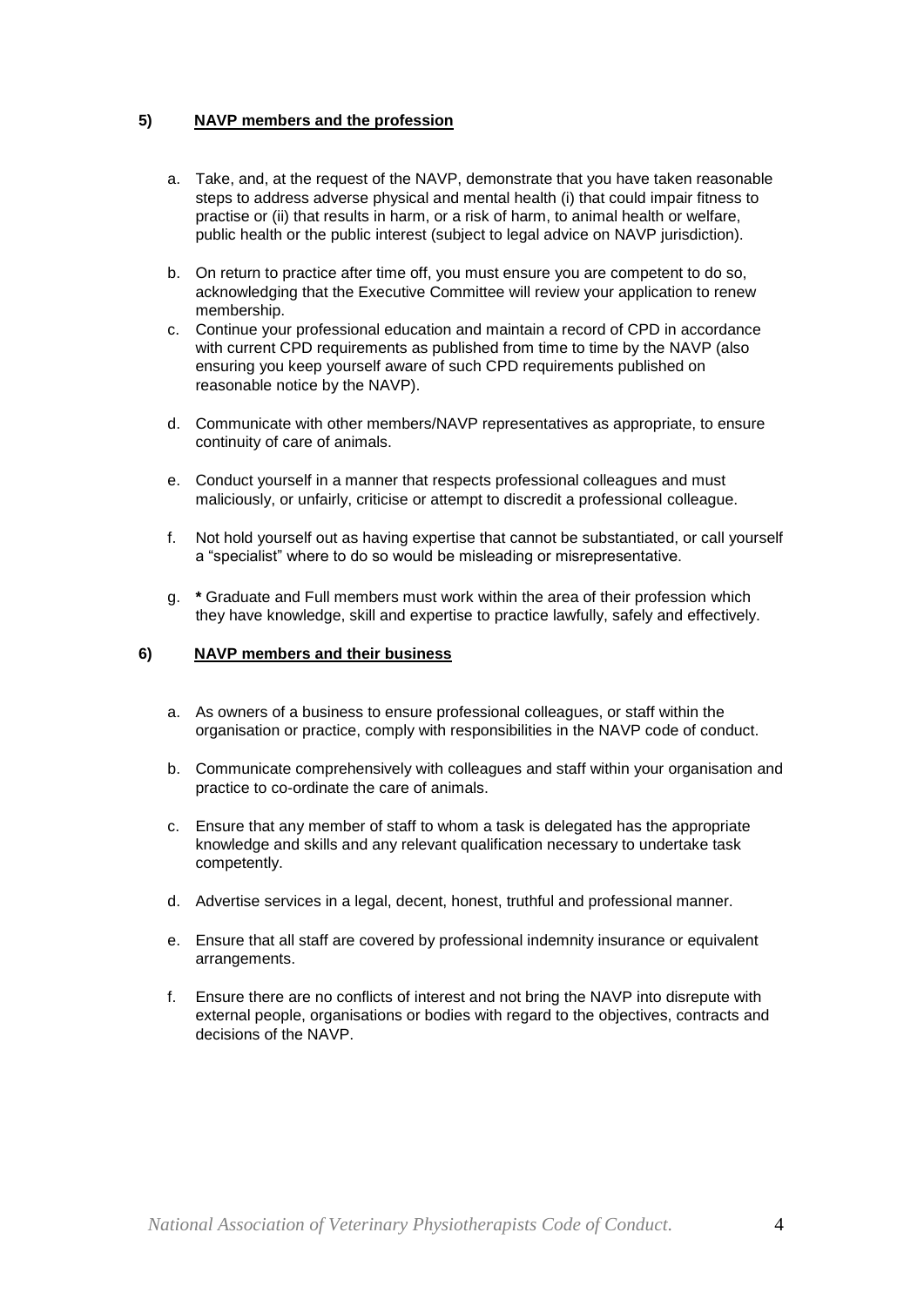## **5) NAVP members and the profession**

- a. Take, and, at the request of the NAVP, demonstrate that you have taken reasonable steps to address adverse physical and mental health (i) that could impair fitness to practise or (ii) that results in harm, or a risk of harm, to animal health or welfare, public health or the public interest (subject to legal advice on NAVP jurisdiction).
- b. On return to practice after time off, you must ensure you are competent to do so, acknowledging that the Executive Committee will review your application to renew membership.
- c. Continue your professional education and maintain a record of CPD in accordance with current CPD requirements as published from time to time by the NAVP (also ensuring you keep yourself aware of such CPD requirements published on reasonable notice by the NAVP).
- d. Communicate with other members/NAVP representatives as appropriate, to ensure continuity of care of animals.
- e. Conduct yourself in a manner that respects professional colleagues and must maliciously, or unfairly, criticise or attempt to discredit a professional colleague.
- f. Not hold yourself out as having expertise that cannot be substantiated, or call yourself a "specialist" where to do so would be misleading or misrepresentative.
- g. **\*** Graduate and Full members must work within the area of their profession which they have knowledge, skill and expertise to practice lawfully, safely and effectively.

#### **6) NAVP members and their business**

- a. As owners of a business to ensure professional colleagues, or staff within the organisation or practice, comply with responsibilities in the NAVP code of conduct.
- b. Communicate comprehensively with colleagues and staff within your organisation and practice to co-ordinate the care of animals.
- c. Ensure that any member of staff to whom a task is delegated has the appropriate knowledge and skills and any relevant qualification necessary to undertake task competently.
- d. Advertise services in a legal, decent, honest, truthful and professional manner.
- e. Ensure that all staff are covered by professional indemnity insurance or equivalent arrangements.
- f. Ensure there are no conflicts of interest and not bring the NAVP into disrepute with external people, organisations or bodies with regard to the objectives, contracts and decisions of the NAVP.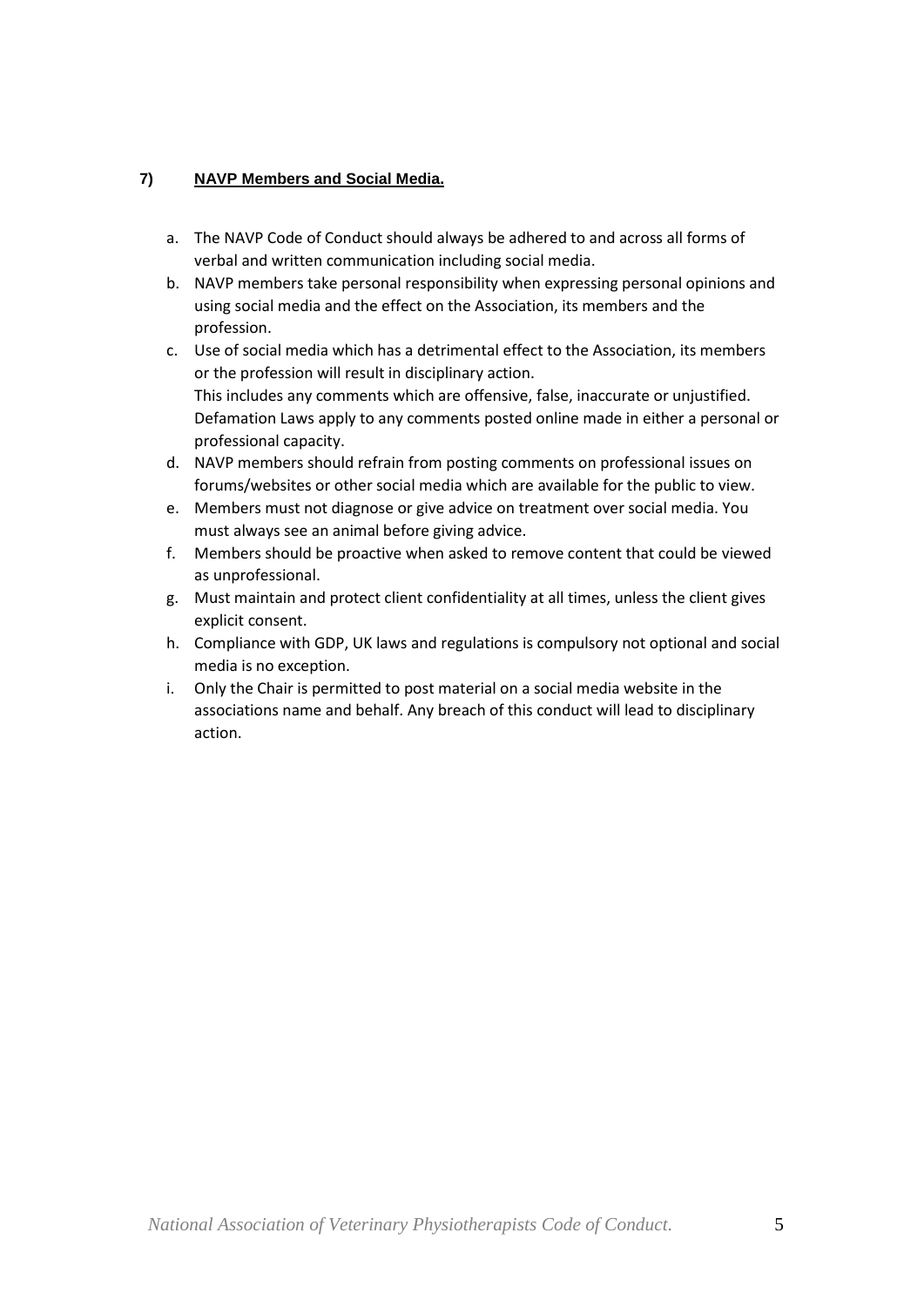# **7) NAVP Members and Social Media.**

- a. The NAVP Code of Conduct should always be adhered to and across all forms of verbal and written communication including social media.
- b. NAVP members take personal responsibility when expressing personal opinions and using social media and the effect on the Association, its members and the profession.
- c. Use of social media which has a detrimental effect to the Association, its members or the profession will result in disciplinary action. This includes any comments which are offensive, false, inaccurate or unjustified. Defamation Laws apply to any comments posted online made in either a personal or professional capacity.
- d. NAVP members should refrain from posting comments on professional issues on forums/websites or other social media which are available for the public to view.
- e. Members must not diagnose or give advice on treatment over social media. You must always see an animal before giving advice.
- f. Members should be proactive when asked to remove content that could be viewed as unprofessional.
- g. Must maintain and protect client confidentiality at all times, unless the client gives explicit consent.
- h. Compliance with GDP, UK laws and regulations is compulsory not optional and social media is no exception.
- i. Only the Chair is permitted to post material on a social media website in the associations name and behalf. Any breach of this conduct will lead to disciplinary action.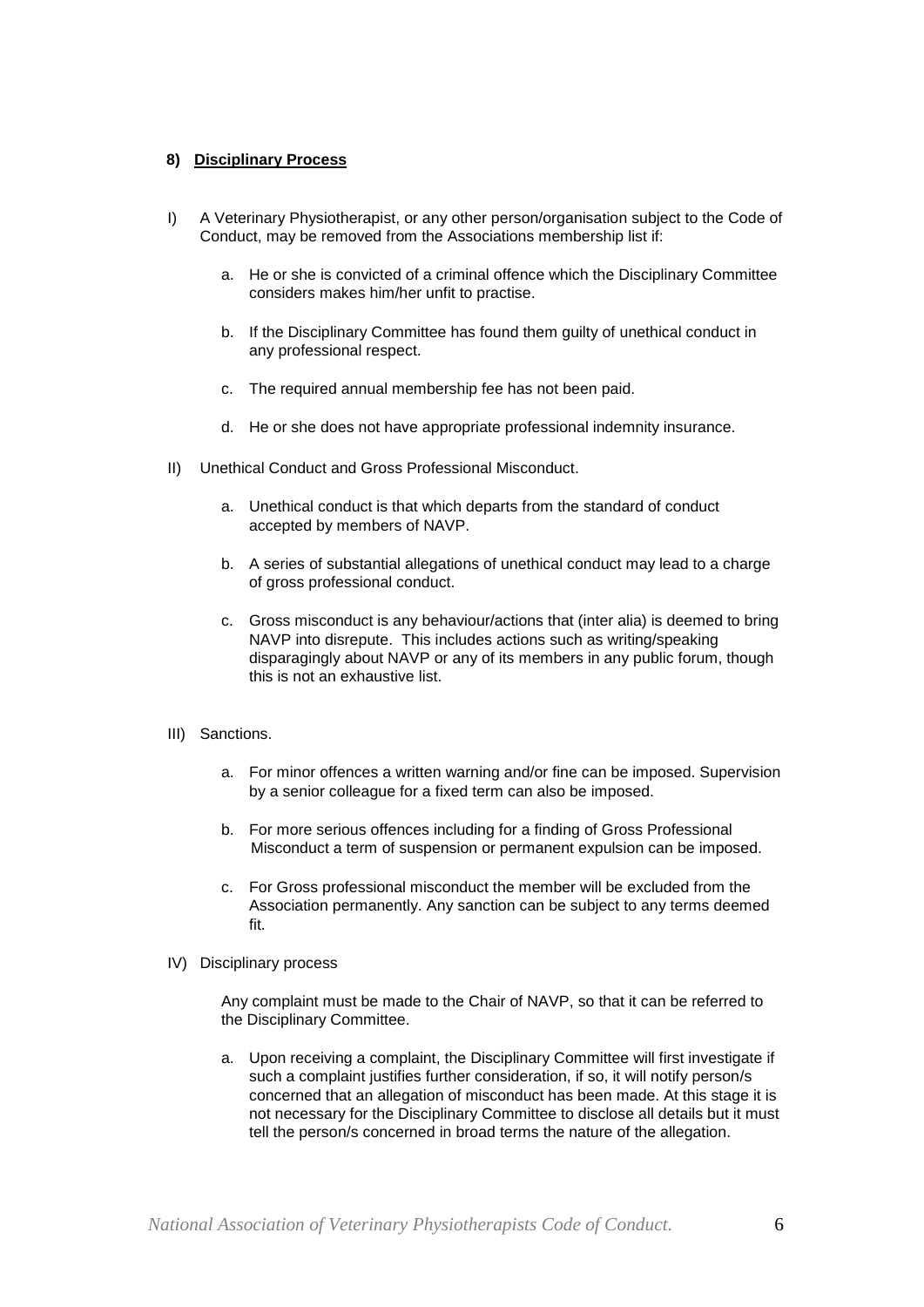### **8) Disciplinary Process**

- I) A Veterinary Physiotherapist, or any other person/organisation subject to the Code of Conduct, may be removed from the Associations membership list if:
	- a. He or she is convicted of a criminal offence which the Disciplinary Committee considers makes him/her unfit to practise.
	- b. If the Disciplinary Committee has found them guilty of unethical conduct in any professional respect.
	- c. The required annual membership fee has not been paid.
	- d. He or she does not have appropriate professional indemnity insurance.
- II) Unethical Conduct and Gross Professional Misconduct.
	- a. Unethical conduct is that which departs from the standard of conduct accepted by members of NAVP.
	- b. A series of substantial allegations of unethical conduct may lead to a charge of gross professional conduct.
	- c. Gross misconduct is any behaviour/actions that (inter alia) is deemed to bring NAVP into disrepute. This includes actions such as writing/speaking disparagingly about NAVP or any of its members in any public forum, though this is not an exhaustive list.
- III) Sanctions.
	- a. For minor offences a written warning and/or fine can be imposed. Supervision by a senior colleague for a fixed term can also be imposed.
	- b. For more serious offences including for a finding of Gross Professional Misconduct a term of suspension or permanent expulsion can be imposed.
	- c. For Gross professional misconduct the member will be excluded from the Association permanently. Any sanction can be subject to any terms deemed fit.
- IV) Disciplinary process

Any complaint must be made to the Chair of NAVP, so that it can be referred to the Disciplinary Committee.

a. Upon receiving a complaint, the Disciplinary Committee will first investigate if such a complaint justifies further consideration, if so, it will notify person/s concerned that an allegation of misconduct has been made. At this stage it is not necessary for the Disciplinary Committee to disclose all details but it must tell the person/s concerned in broad terms the nature of the allegation.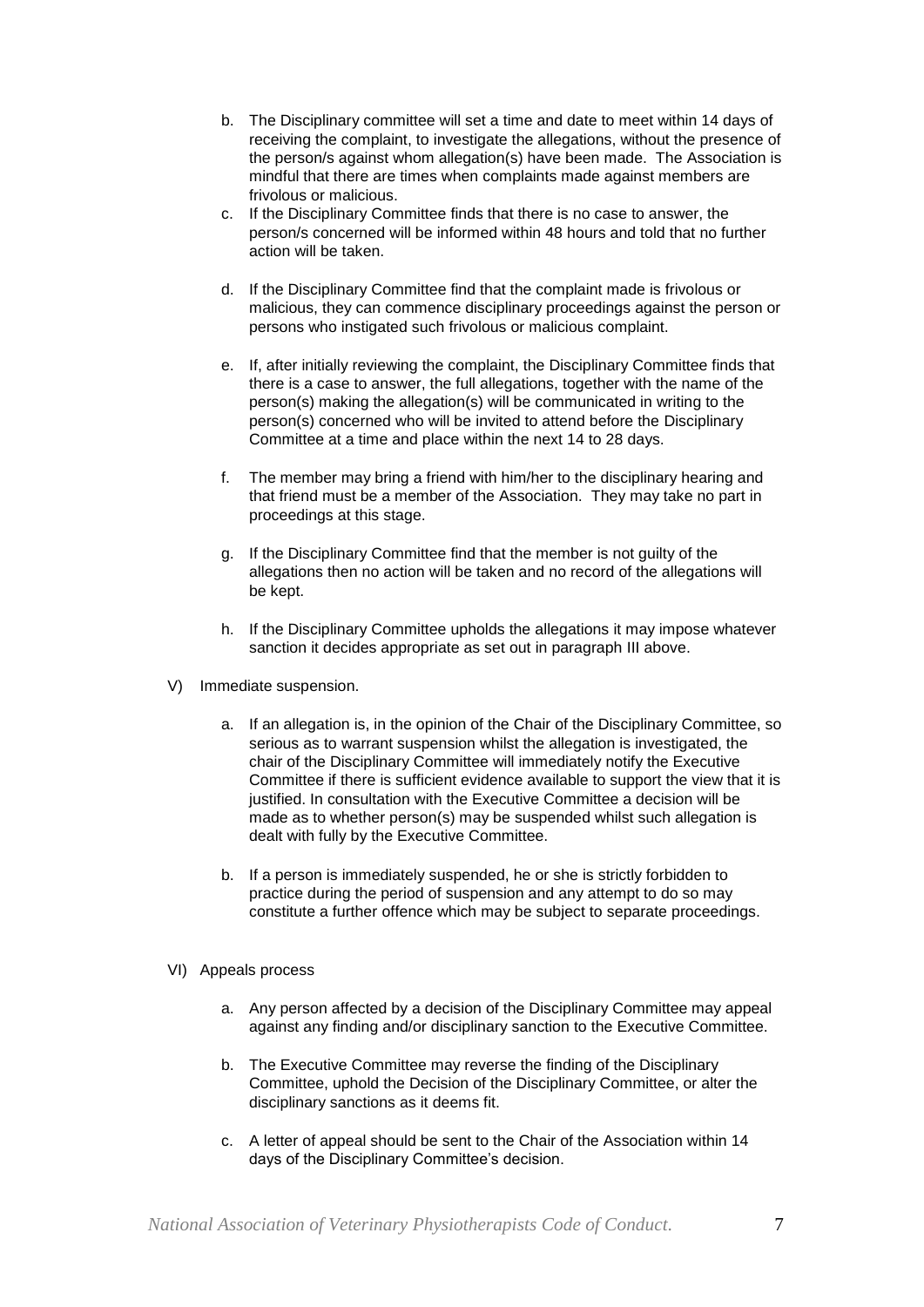- b. The Disciplinary committee will set a time and date to meet within 14 days of receiving the complaint, to investigate the allegations, without the presence of the person/s against whom allegation(s) have been made. The Association is mindful that there are times when complaints made against members are frivolous or malicious.
- c. If the Disciplinary Committee finds that there is no case to answer, the person/s concerned will be informed within 48 hours and told that no further action will be taken.
- d. If the Disciplinary Committee find that the complaint made is frivolous or malicious, they can commence disciplinary proceedings against the person or persons who instigated such frivolous or malicious complaint.
- e. If, after initially reviewing the complaint, the Disciplinary Committee finds that there is a case to answer, the full allegations, together with the name of the person(s) making the allegation(s) will be communicated in writing to the person(s) concerned who will be invited to attend before the Disciplinary Committee at a time and place within the next 14 to 28 days.
- f. The member may bring a friend with him/her to the disciplinary hearing and that friend must be a member of the Association. They may take no part in proceedings at this stage.
- g. If the Disciplinary Committee find that the member is not guilty of the allegations then no action will be taken and no record of the allegations will be kept.
- h. If the Disciplinary Committee upholds the allegations it may impose whatever sanction it decides appropriate as set out in paragraph III above.
- V) Immediate suspension.
	- a. If an allegation is, in the opinion of the Chair of the Disciplinary Committee, so serious as to warrant suspension whilst the allegation is investigated, the chair of the Disciplinary Committee will immediately notify the Executive Committee if there is sufficient evidence available to support the view that it is justified. In consultation with the Executive Committee a decision will be made as to whether person(s) may be suspended whilst such allegation is dealt with fully by the Executive Committee.
	- b. If a person is immediately suspended, he or she is strictly forbidden to practice during the period of suspension and any attempt to do so may constitute a further offence which may be subject to separate proceedings.
- VI) Appeals process
	- a. Any person affected by a decision of the Disciplinary Committee may appeal against any finding and/or disciplinary sanction to the Executive Committee.
	- b. The Executive Committee may reverse the finding of the Disciplinary Committee, uphold the Decision of the Disciplinary Committee, or alter the disciplinary sanctions as it deems fit.
	- c. A letter of appeal should be sent to the Chair of the Association within 14 days of the Disciplinary Committee's decision.